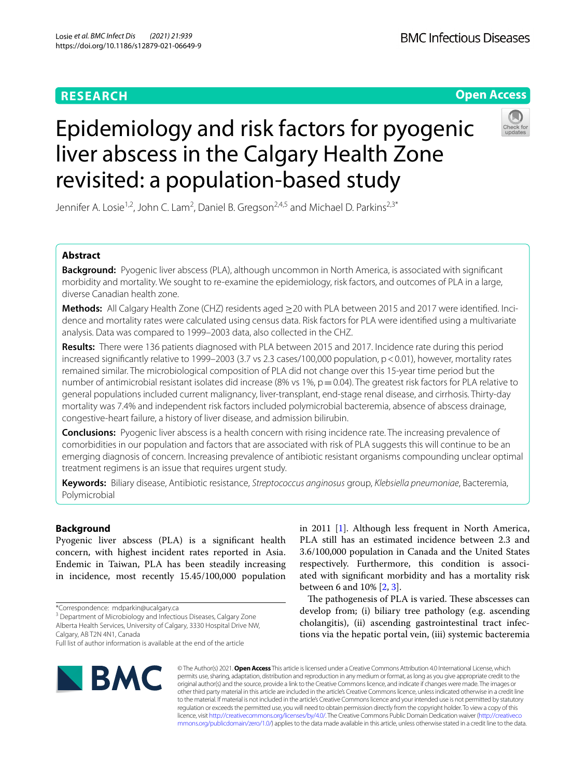# **RESEARCH**

# **Open Access**



# Epidemiology and risk factors for pyogenic liver abscess in the Calgary Health Zone revisited: a population-based study

Jennifer A. Losie<sup>1,2</sup>, John C. Lam<sup>2</sup>, Daniel B. Gregson<sup>2,4,5</sup> and Michael D. Parkins<sup>2,3\*</sup>

# **Abstract**

**Background:** Pyogenic liver abscess (PLA), although uncommon in North America, is associated with signifcant morbidity and mortality. We sought to re-examine the epidemiology, risk factors, and outcomes of PLA in a large, diverse Canadian health zone.

**Methods:** All Calgary Health Zone (CHZ) residents aged ≥20 with PLA between 2015 and 2017 were identifed. Incidence and mortality rates were calculated using census data. Risk factors for PLA were identifed using a multivariate analysis. Data was compared to 1999–2003 data, also collected in the CHZ.

**Results:** There were 136 patients diagnosed with PLA between 2015 and 2017. Incidence rate during this period increased significantly relative to 1999–2003 (3.7 vs 2.3 cases/100,000 population, p < 0.01), however, mortality rates remained similar. The microbiological composition of PLA did not change over this 15-year time period but the number of antimicrobial resistant isolates did increase (8% vs 1%,  $p = 0.04$ ). The greatest risk factors for PLA relative to general populations included current malignancy, liver-transplant, end-stage renal disease, and cirrhosis. Thirty-day mortality was 7.4% and independent risk factors included polymicrobial bacteremia, absence of abscess drainage, congestive-heart failure, a history of liver disease, and admission bilirubin.

**Conclusions:** Pyogenic liver abscess is a health concern with rising incidence rate. The increasing prevalence of comorbidities in our population and factors that are associated with risk of PLA suggests this will continue to be an emerging diagnosis of concern. Increasing prevalence of antibiotic resistant organisms compounding unclear optimal treatment regimens is an issue that requires urgent study.

**Keywords:** Biliary disease, Antibiotic resistance, *Streptococcus anginosus* group, *Klebsiella pneumoniae*, Bacteremia, Polymicrobial

# **Background**

Pyogenic liver abscess (PLA) is a signifcant health concern, with highest incident rates reported in Asia. Endemic in Taiwan, PLA has been steadily increasing in incidence, most recently 15.45/100,000 population

\*Correspondence: mdparkin@ucalgary.ca

<sup>3</sup> Department of Microbiology and Infectious Diseases, Calgary Zone Alberta Health Services, University of Calgary, 3330 Hospital Drive NW,

Calgary, AB T2N 4N1, Canada

**BMC** 

in 2011 [\[1\]](#page-7-0). Although less frequent in North America, PLA still has an estimated incidence between 2.3 and 3.6/100,000 population in Canada and the United States respectively. Furthermore, this condition is associated with signifcant morbidity and has a mortality risk between 6 and 10% [\[2](#page-7-1), [3\]](#page-7-2).

The pathogenesis of PLA is varied. These abscesses can develop from; (i) biliary tree pathology (e.g. ascending cholangitis), (ii) ascending gastrointestinal tract infections via the hepatic portal vein, (iii) systemic bacteremia

© The Author(s) 2021. **Open Access** This article is licensed under a Creative Commons Attribution 4.0 International License, which permits use, sharing, adaptation, distribution and reproduction in any medium or format, as long as you give appropriate credit to the original author(s) and the source, provide a link to the Creative Commons licence, and indicate if changes were made. The images or other third party material in this article are included in the article's Creative Commons licence, unless indicated otherwise in a credit line to the material. If material is not included in the article's Creative Commons licence and your intended use is not permitted by statutory regulation or exceeds the permitted use, you will need to obtain permission directly from the copyright holder. To view a copy of this licence, visit [http://creativecommons.org/licenses/by/4.0/.](http://creativecommons.org/licenses/by/4.0/) The Creative Commons Public Domain Dedication waiver ([http://creativeco](http://creativecommons.org/publicdomain/zero/1.0/) [mmons.org/publicdomain/zero/1.0/](http://creativecommons.org/publicdomain/zero/1.0/)) applies to the data made available in this article, unless otherwise stated in a credit line to the data.

Full list of author information is available at the end of the article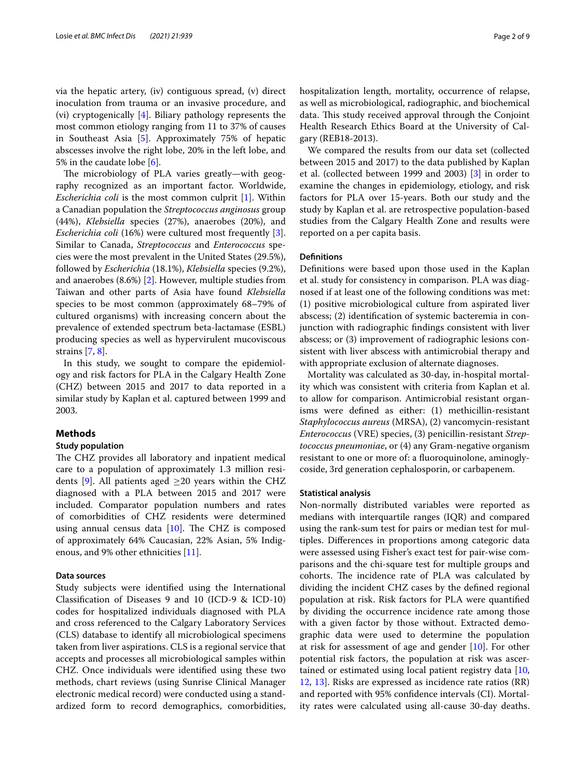via the hepatic artery, (iv) contiguous spread, (v) direct inoculation from trauma or an invasive procedure, and (vi) cryptogenically [\[4](#page-8-0)]. Biliary pathology represents the most common etiology ranging from 11 to 37% of causes in Southeast Asia [[5\]](#page-8-1). Approximately 75% of hepatic abscesses involve the right lobe, 20% in the left lobe, and 5% in the caudate lobe [\[6](#page-8-2)].

The microbiology of PLA varies greatly-with geography recognized as an important factor. Worldwide, *Escherichia coli* is the most common culprit [\[1\]](#page-7-0). Within a Canadian population the *Streptococcus anginosus* group (44%), *Klebsiella* species (27%), anaerobes (20%), and *Escherichia coli* (16%) were cultured most frequently [\[3](#page-7-2)]. Similar to Canada, *Streptococcus* and *Enterococcus* species were the most prevalent in the United States (29.5%), followed by *Escherichia* (18.1%), *Klebsiella* species (9.2%), and anaerobes (8.6%) [\[2\]](#page-7-1). However, multiple studies from Taiwan and other parts of Asia have found *Klebsiella* species to be most common (approximately 68–79% of cultured organisms) with increasing concern about the prevalence of extended spectrum beta-lactamase (ESBL) producing species as well as hypervirulent mucoviscous strains [\[7](#page-8-3), [8\]](#page-8-4).

In this study, we sought to compare the epidemiology and risk factors for PLA in the Calgary Health Zone (CHZ) between 2015 and 2017 to data reported in a similar study by Kaplan et al. captured between 1999 and 2003.

## **Methods**

#### **Study population**

The CHZ provides all laboratory and inpatient medical care to a population of approximately 1.3 million resi-dents [\[9](#page-8-5)]. All patients aged  $\geq$ 20 years within the CHZ diagnosed with a PLA between 2015 and 2017 were included. Comparator population numbers and rates of comorbidities of CHZ residents were determined using annual census data  $[10]$  $[10]$ . The CHZ is composed of approximately 64% Caucasian, 22% Asian, 5% Indigenous, and 9% other ethnicities [\[11](#page-8-7)].

#### **Data sources**

Study subjects were identifed using the International Classifcation of Diseases 9 and 10 (ICD-9 & ICD-10) codes for hospitalized individuals diagnosed with PLA and cross referenced to the Calgary Laboratory Services (CLS) database to identify all microbiological specimens taken from liver aspirations. CLS is a regional service that accepts and processes all microbiological samples within CHZ. Once individuals were identifed using these two methods, chart reviews (using Sunrise Clinical Manager electronic medical record) were conducted using a standardized form to record demographics, comorbidities, hospitalization length, mortality, occurrence of relapse, as well as microbiological, radiographic, and biochemical data. This study received approval through the Conjoint Health Research Ethics Board at the University of Calgary (REB18-2013).

We compared the results from our data set (collected between 2015 and 2017) to the data published by Kaplan et al. (collected between 1999 and 2003) [\[3](#page-7-2)] in order to examine the changes in epidemiology, etiology, and risk factors for PLA over 15-years. Both our study and the study by Kaplan et al. are retrospective population-based studies from the Calgary Health Zone and results were reported on a per capita basis.

# **Defnitions**

Defnitions were based upon those used in the Kaplan et al. study for consistency in comparison. PLA was diagnosed if at least one of the following conditions was met: (1) positive microbiological culture from aspirated liver abscess; (2) identifcation of systemic bacteremia in conjunction with radiographic fndings consistent with liver abscess; or (3) improvement of radiographic lesions consistent with liver abscess with antimicrobial therapy and with appropriate exclusion of alternate diagnoses.

Mortality was calculated as 30-day, in-hospital mortality which was consistent with criteria from Kaplan et al. to allow for comparison. Antimicrobial resistant organisms were defned as either: (1) methicillin-resistant *Staphylococcus aureus* (MRSA), (2) vancomycin-resistant *Enterococcus* (VRE) species, (3) penicillin-resistant *Streptococcus pneumoniae*, or (4) any Gram-negative organism resistant to one or more of: a fuoroquinolone, aminoglycoside, 3rd generation cephalosporin, or carbapenem.

#### **Statistical analysis**

Non-normally distributed variables were reported as medians with interquartile ranges (IQR) and compared using the rank-sum test for pairs or median test for multiples. Diferences in proportions among categoric data were assessed using Fisher's exact test for pair-wise comparisons and the chi-square test for multiple groups and cohorts. The incidence rate of PLA was calculated by dividing the incident CHZ cases by the defned regional population at risk. Risk factors for PLA were quantifed by dividing the occurrence incidence rate among those with a given factor by those without. Extracted demographic data were used to determine the population at risk for assessment of age and gender [[10\]](#page-8-6). For other potential risk factors, the population at risk was ascertained or estimated using local patient registry data [[10](#page-8-6), [12,](#page-8-8) [13\]](#page-8-9). Risks are expressed as incidence rate ratios (RR) and reported with 95% confdence intervals (CI). Mortality rates were calculated using all-cause 30-day deaths.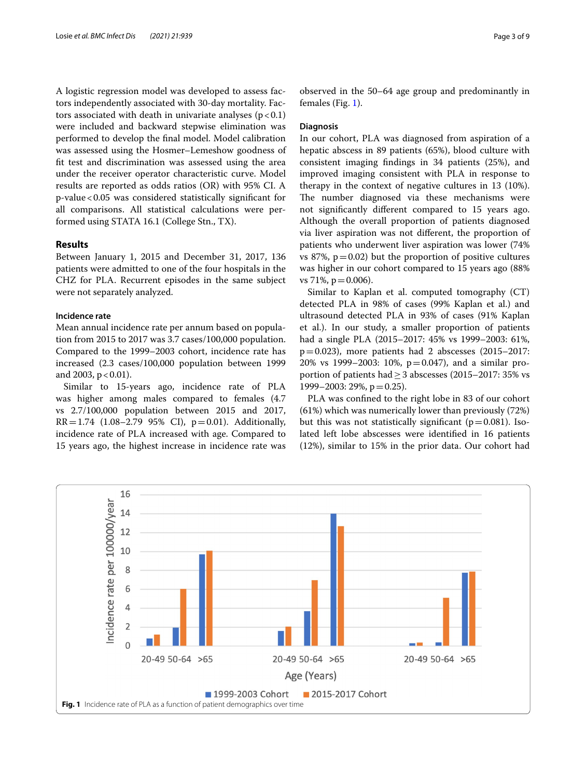A logistic regression model was developed to assess factors independently associated with 30-day mortality. Factors associated with death in univariate analyses  $(p < 0.1)$ were included and backward stepwise elimination was performed to develop the fnal model. Model calibration was assessed using the Hosmer–Lemeshow goodness of ft test and discrimination was assessed using the area under the receiver operator characteristic curve. Model results are reported as odds ratios (OR) with 95% CI. A p-value<0.05 was considered statistically signifcant for all comparisons. All statistical calculations were performed using STATA 16.1 (College Stn., TX).

# **Results**

Between January 1, 2015 and December 31, 2017, 136 patients were admitted to one of the four hospitals in the CHZ for PLA. Recurrent episodes in the same subject were not separately analyzed.

#### **Incidence rate**

Mean annual incidence rate per annum based on population from 2015 to 2017 was 3.7 cases/100,000 population. Compared to the 1999–2003 cohort, incidence rate has increased (2.3 cases/100,000 population between 1999 and 2003,  $p < 0.01$ ).

Similar to 15-years ago, incidence rate of PLA was higher among males compared to females (4.7 vs 2.7/100,000 population between 2015 and 2017,  $RR = 1.74$  (1.08–2.79 95% CI),  $p = 0.01$ ). Additionally, incidence rate of PLA increased with age. Compared to 15 years ago, the highest increase in incidence rate was

observed in the 50–64 age group and predominantly in females (Fig. [1](#page-2-0)).

## **Diagnosis**

In our cohort, PLA was diagnosed from aspiration of a hepatic abscess in 89 patients (65%), blood culture with consistent imaging fndings in 34 patients (25%), and improved imaging consistent with PLA in response to therapy in the context of negative cultures in 13 (10%). The number diagnosed via these mechanisms were not signifcantly diferent compared to 15 years ago. Although the overall proportion of patients diagnosed via liver aspiration was not diferent, the proportion of patients who underwent liver aspiration was lower (74% vs 87%,  $p=0.02$ ) but the proportion of positive cultures was higher in our cohort compared to 15 years ago (88% vs 71\%,  $p = 0.006$ ).

Similar to Kaplan et al. computed tomography (CT) detected PLA in 98% of cases (99% Kaplan et al.) and ultrasound detected PLA in 93% of cases (91% Kaplan et al.). In our study, a smaller proportion of patients had a single PLA (2015–2017: 45% vs 1999–2003: 61%,  $p=0.023$ ), more patients had 2 abscesses (2015–2017: 20% vs 1999–2003: 10%, p=0.047), and a similar proportion of patients had≥3 abscesses (2015–2017: 35% vs 1999–2003: 29%,  $p = 0.25$ ).

PLA was confned to the right lobe in 83 of our cohort (61%) which was numerically lower than previously (72%) but this was not statistically significant ( $p=0.081$ ). Isolated left lobe abscesses were identifed in 16 patients (12%), similar to 15% in the prior data. Our cohort had

<span id="page-2-0"></span>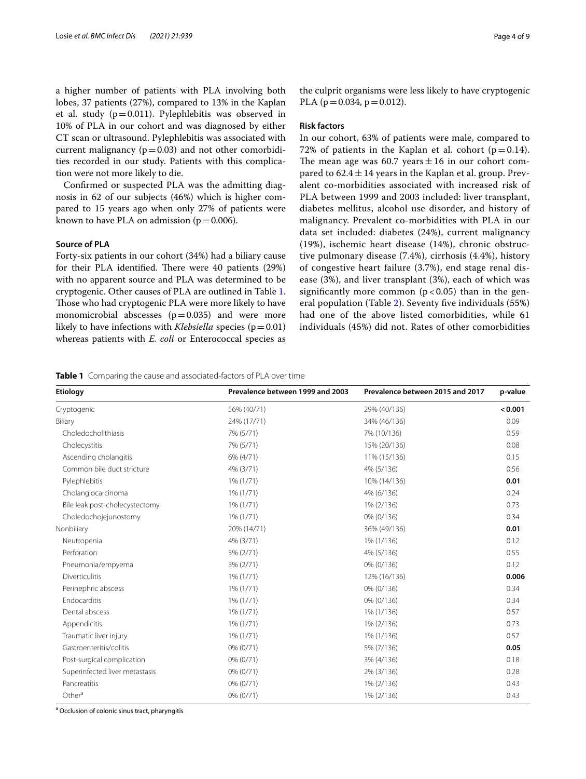a higher number of patients with PLA involving both lobes, 37 patients (27%), compared to 13% in the Kaplan et al. study ( $p=0.011$ ). Pylephlebitis was observed in 10% of PLA in our cohort and was diagnosed by either CT scan or ultrasound. Pylephlebitis was associated with current malignancy ( $p=0.03$ ) and not other comorbidities recorded in our study. Patients with this complication were not more likely to die.

Confrmed or suspected PLA was the admitting diagnosis in 62 of our subjects (46%) which is higher compared to 15 years ago when only 27% of patients were known to have PLA on admission ( $p=0.006$ ).

## **Source of PLA**

Forty-six patients in our cohort (34%) had a biliary cause for their PLA identified. There were 40 patients (29%) with no apparent source and PLA was determined to be cryptogenic. Other causes of PLA are outlined in Table [1](#page-3-0). Those who had cryptogenic PLA were more likely to have monomicrobial abscesses  $(p=0.035)$  and were more likely to have infections with *Klebsiella* species ( $p=0.01$ ) whereas patients with *E. coli* or Enterococcal species as the culprit organisms were less likely to have cryptogenic PLA ( $p = 0.034$ ,  $p = 0.012$ ).

## **Risk factors**

In our cohort, 63% of patients were male, compared to 72% of patients in the Kaplan et al. cohort ( $p=0.14$ ). The mean age was 60.7 years  $\pm 16$  in our cohort compared to  $62.4 \pm 14$  years in the Kaplan et al. group. Prevalent co-morbidities associated with increased risk of PLA between 1999 and 2003 included: liver transplant, diabetes mellitus, alcohol use disorder, and history of malignancy. Prevalent co-morbidities with PLA in our data set included: diabetes (24%), current malignancy (19%), ischemic heart disease (14%), chronic obstructive pulmonary disease (7.4%), cirrhosis (4.4%), history of congestive heart failure (3.7%), end stage renal disease (3%), and liver transplant (3%), each of which was significantly more common ( $p < 0.05$ ) than in the general population (Table [2](#page-4-0)). Seventy fve individuals (55%) had one of the above listed comorbidities, while 61 individuals (45%) did not. Rates of other comorbidities

<span id="page-3-0"></span>

|  |  |  | Table 1 Comparing the cause and associated-factors of PLA over time |  |
|--|--|--|---------------------------------------------------------------------|--|
|--|--|--|---------------------------------------------------------------------|--|

| Etiology                       | Prevalence between 1999 and 2003 | Prevalence between 2015 and 2017 | p-value |
|--------------------------------|----------------------------------|----------------------------------|---------|
| Cryptogenic                    | 56% (40/71)                      | 29% (40/136)                     | < 0.001 |
| Biliary                        | 24% (17/71)                      | 34% (46/136)                     | 0.09    |
| Choledocholithiasis            | 7% (5/71)                        | 7% (10/136)                      | 0.59    |
| Cholecystitis                  | 7% (5/71)                        | 15% (20/136)                     | 0.08    |
| Ascending cholangitis          | 6% (4/71)                        | 11% (15/136)                     | 0.15    |
| Common bile duct stricture     | 4% (3/71)                        | 4% (5/136)                       | 0.56    |
| Pylephlebitis                  | 1% (1/71)                        | 10% (14/136)                     | 0.01    |
| Cholangiocarcinoma             | 1% (1/71)                        | 4% (6/136)                       | 0.24    |
| Bile leak post-cholecystectomy | $1\%$ (1/71)                     | 1% (2/136)                       | 0.73    |
| Choledochojejunostomy          | 1% (1/71)                        | 0% (0/136)                       | 0.34    |
| Nonbiliary                     | 20% (14/71)                      | 36% (49/136)                     | 0.01    |
| Neutropenia                    | 4% (3/71)                        | 1% (1/136)                       | 0.12    |
| Perforation                    | 3% (2/71)                        | 4% (5/136)                       | 0.55    |
| Pneumonia/empyema              | 3% (2/71)                        | 0% (0/136)                       | 0.12    |
| Diverticulitis                 | 1% (1/71)                        | 12% (16/136)                     | 0.006   |
| Perinephric abscess            | 1% (1/71)                        | 0% (0/136)                       | 0.34    |
| Endocarditis                   | 1% (1/71)                        | 0% (0/136)                       | 0.34    |
| Dental abscess                 | 1% (1/71)                        | 1% (1/136)                       | 0.57    |
| Appendicitis                   | $1\%$ (1/71)                     | 1% (2/136)                       | 0.73    |
| Traumatic liver injury         | 1% (1/71)                        | 1% (1/136)                       | 0.57    |
| Gastroenteritis/colitis        | 0% (0/71)                        | 5% (7/136)                       | 0.05    |
| Post-surgical complication     | 0% (0/71)                        | 3% (4/136)                       | 0.18    |
| Superinfected liver metastasis | $0\% (0/71)$                     | 2% (3/136)                       | 0.28    |
| Pancreatitis                   | 0% (0/71)                        | 1% (2/136)                       | 0.43    |
| Other <sup>a</sup>             | 0% (0/71)                        | 1% (2/136)                       | 0.43    |

<sup>a</sup> Occlusion of colonic sinus tract, pharyngitis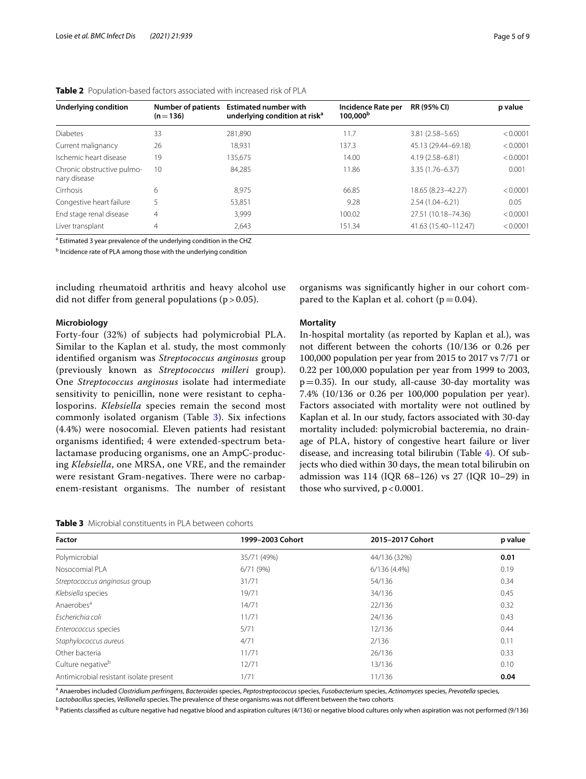| Underlying condition                       | Number of patients<br>$(n=136)$ | <b>Estimated number with</b><br>underlying condition at risk <sup>a</sup> | Incidence Rate per<br>100,000 <sup>b</sup> | <b>RR (95% CI)</b>   | p value  |
|--------------------------------------------|---------------------------------|---------------------------------------------------------------------------|--------------------------------------------|----------------------|----------|
| <b>Diabetes</b>                            | 33                              | 281.890                                                                   | 11.7                                       | $3.81(2.58 - 5.65)$  | < 0.0001 |
| Current malignancy                         | 26                              | 18.931                                                                    | 137.3                                      | 45.13 (29.44-69.18)  | < 0.0001 |
| Ischemic heart disease                     | 19                              | 135.675                                                                   | 14.00                                      | 4.19 (2.58-6.81)     | < 0.0001 |
| Chronic obstructive pulmo-<br>nary disease | 10                              | 84,285                                                                    | 11.86                                      | $3.35(1.76 - 6.37)$  | 0.001    |
| Cirrhosis                                  | 6                               | 8.975                                                                     | 66.85                                      | 18.65 (8.23-42.27)   | < 0.0001 |
| Congestive heart failure                   |                                 | 53,851                                                                    | 9.28                                       | $2.54(1.04-6.21)$    | 0.05     |
| End stage renal disease                    | 4                               | 3.999                                                                     | 100.02                                     | 27.51 (10.18-74.36)  | < 0.0001 |
| Liver transplant                           | 4                               | 2.643                                                                     | 151.34                                     | 41.63 (15.40-112.47) | < 0.0001 |
|                                            |                                 |                                                                           |                                            |                      |          |

<span id="page-4-0"></span>

|  | <b>Table 2</b> Population-based factors associated with increased risk of PLA |  |  |  |  |
|--|-------------------------------------------------------------------------------|--|--|--|--|
|--|-------------------------------------------------------------------------------|--|--|--|--|

<sup>a</sup> Estimated 3 year prevalence of the underlying condition in the CHZ

**b** Incidence rate of PLA among those with the underlying condition

including rheumatoid arthritis and heavy alcohol use did not differ from general populations  $(p > 0.05)$ .

## **Microbiology**

Forty-four (32%) of subjects had polymicrobial PLA. Similar to the Kaplan et al. study, the most commonly identifed organism was *Streptococcus anginosus* group (previously known as *Streptococcus milleri* group). One *Streptococcus anginosus* isolate had intermediate sensitivity to penicillin, none were resistant to cephalosporins. *Klebsiella* species remain the second most commonly isolated organism (Table [3\)](#page-4-1). Six infections (4.4%) were nosocomial. Eleven patients had resistant organisms identifed; 4 were extended-spectrum betalactamase producing organisms, one an AmpC-producing *Klebsiella*, one MRSA, one VRE, and the remainder were resistant Gram-negatives. There were no carbapenem-resistant organisms. The number of resistant

<span id="page-4-1"></span>

| <b>Table 3</b> Microbial constituents in PLA between cohorts |
|--------------------------------------------------------------|
|--------------------------------------------------------------|

organisms was signifcantly higher in our cohort compared to the Kaplan et al. cohort ( $p=0.04$ ).

# **Mortality**

In-hospital mortality (as reported by Kaplan et al.), was not diferent between the cohorts (10/136 or 0.26 per 100,000 population per year from 2015 to 2017 vs 7/71 or 0.22 per 100,000 population per year from 1999 to 2003,  $p=0.35$ ). In our study, all-cause 30-day mortality was 7.4% (10/136 or 0.26 per 100,000 population per year). Factors associated with mortality were not outlined by Kaplan et al. In our study, factors associated with 30-day mortality included: polymicrobial bacteremia, no drainage of PLA, history of congestive heart failure or liver disease, and increasing total bilirubin (Table [4\)](#page-5-0). Of subjects who died within 30 days, the mean total bilirubin on admission was 114 (IQR 68–126) vs 27 (IQR 10–29) in those who survived,  $p < 0.0001$ .

| Factor                                  | 1999-2003 Cohort | 2015-2017 Cohort | p value |
|-----------------------------------------|------------------|------------------|---------|
| Polymicrobial                           | 35/71 (49%)      | 44/136 (32%)     | 0.01    |
| Nosocomial PLA                          | 6/71(9%)         | 6/136 (4.4%)     | 0.19    |
| Streptococcus anginosus group           | 31/71            | 54/136           | 0.34    |
| Klebsiella species                      | 19/71            | 34/136           | 0.45    |
| Anaerobes <sup>a</sup>                  | 14/71            | 22/136           | 0.32    |
| Escherichia coli                        | 11/71            | 24/136           | 0.43    |
| Enterococcus species                    | 5/71             | 12/136           | 0.44    |
| Staphylococcus aureus                   | 4/71             | 2/136            | 0.11    |
| Other bacteria                          | 11/71            | 26/136           | 0.33    |
| Culture negative <sup>b</sup>           | 12/71            | 13/136           | 0.10    |
| Antimicrobial resistant isolate present | 1/71             | 11/136           | 0.04    |

a Anaerobes included *Clostridium perfringens*, *Bacteroides* species, *Peptostreptococcus* species, *Fusobacterium* species, *Actinomyces* species, *Prevotella* species, *Lactobacillus* species, *Veillonella* species. The prevalence of these organisms was not diferent between the two cohorts

<sup>b</sup> Patients classified as culture negative had negative blood and aspiration cultures (4/136) or negative blood cultures only when aspiration was not performed (9/136)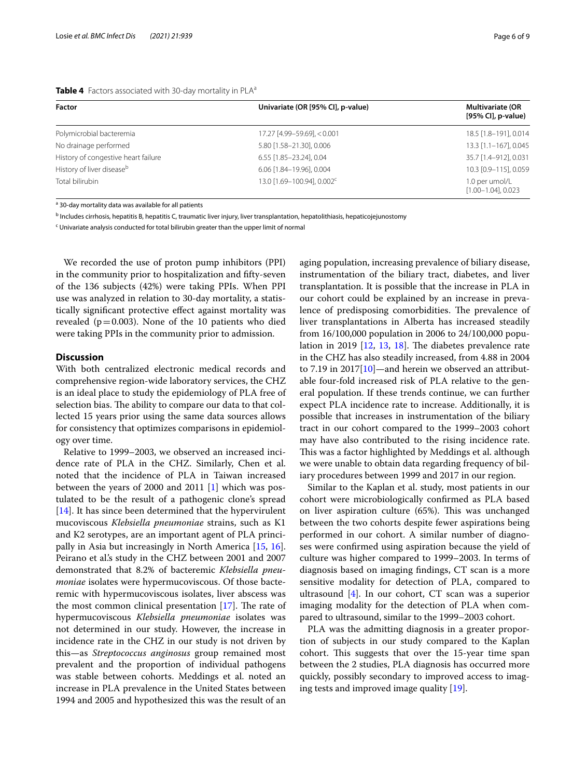#### <span id="page-5-0"></span>**Table 4** Factors associated with 30-day mortality in PLA<sup>a</sup>

| <b>Factor</b>                         | Univariate (OR [95% CI], p-value)      | <b>Multivariate (OR</b><br>[95% CI], p-value) |
|---------------------------------------|----------------------------------------|-----------------------------------------------|
| Polymicrobial bacteremia              | 17.27 [4.99-59.69], < 0.001            | 18.5 [1.8-191], 0.014                         |
| No drainage performed                 | 5.80 [1.58-21.30], 0.006               | 13.3 [1.1-167], 0.045                         |
| History of congestive heart failure   | 6.55 [1.85-23.24], 0.04                | 35.7 [1.4-912], 0.031                         |
| History of liver disease <sup>b</sup> | 6.06 [1.84-19.96], 0.004               | 10.3 [0.9-115], 0.059                         |
| Total bilirubin                       | 13.0 [1.69-100.94], 0.002 <sup>c</sup> | 1.0 per umol/L<br>$[1.00 - 1.04]$ , 0.023     |

<sup>a</sup> 30-day mortality data was available for all patients

<sup>b</sup> Includes cirrhosis, hepatitis B, hepatitis C, traumatic liver injury, liver transplantation, hepatolithiasis, hepaticojejunostomy

<sup>c</sup> Univariate analysis conducted for total bilirubin greater than the upper limit of normal

We recorded the use of proton pump inhibitors (PPI) in the community prior to hospitalization and ffty-seven of the 136 subjects (42%) were taking PPIs. When PPI use was analyzed in relation to 30-day mortality, a statistically signifcant protective efect against mortality was revealed ( $p=0.003$ ). None of the 10 patients who died were taking PPIs in the community prior to admission.

#### **Discussion**

With both centralized electronic medical records and comprehensive region-wide laboratory services, the CHZ is an ideal place to study the epidemiology of PLA free of selection bias. The ability to compare our data to that collected 15 years prior using the same data sources allows for consistency that optimizes comparisons in epidemiology over time.

Relative to 1999–2003, we observed an increased incidence rate of PLA in the CHZ. Similarly, Chen et al. noted that the incidence of PLA in Taiwan increased between the years of 2000 and 2011 [\[1](#page-7-0)] which was postulated to be the result of a pathogenic clone's spread  $[14]$  $[14]$ . It has since been determined that the hypervirulent mucoviscous *Klebsiella pneumoniae* strains, such as K1 and K2 serotypes, are an important agent of PLA principally in Asia but increasingly in North America [\[15](#page-8-11), [16](#page-8-12)]. Peirano et al.'s study in the CHZ between 2001 and 2007 demonstrated that 8.2% of bacteremic *Klebsiella pneumoniae* isolates were hypermucoviscous. Of those bacteremic with hypermucoviscous isolates, liver abscess was the most common clinical presentation  $[17]$  $[17]$ . The rate of hypermucoviscous *Klebsiella pneumoniae* isolates was not determined in our study. However, the increase in incidence rate in the CHZ in our study is not driven by this—as *Streptococcus anginosus* group remained most prevalent and the proportion of individual pathogens was stable between cohorts. Meddings et al. noted an increase in PLA prevalence in the United States between 1994 and 2005 and hypothesized this was the result of an aging population, increasing prevalence of biliary disease, instrumentation of the biliary tract, diabetes, and liver transplantation. It is possible that the increase in PLA in our cohort could be explained by an increase in prevalence of predisposing comorbidities. The prevalence of liver transplantations in Alberta has increased steadily from 16/100,000 population in 2006 to 24/100,000 population in 2019  $[12, 13, 18]$  $[12, 13, 18]$  $[12, 13, 18]$  $[12, 13, 18]$  $[12, 13, 18]$  $[12, 13, 18]$  $[12, 13, 18]$ . The diabetes prevalence rate in the CHZ has also steadily increased, from 4.88 in 2004 to 7.19 in 2017[\[10\]](#page-8-6)—and herein we observed an attributable four-fold increased risk of PLA relative to the general population. If these trends continue, we can further expect PLA incidence rate to increase. Additionally, it is possible that increases in instrumentation of the biliary tract in our cohort compared to the 1999–2003 cohort may have also contributed to the rising incidence rate. This was a factor highlighted by Meddings et al. although we were unable to obtain data regarding frequency of biliary procedures between 1999 and 2017 in our region.

Similar to the Kaplan et al. study, most patients in our cohort were microbiologically confrmed as PLA based on liver aspiration culture (65%). This was unchanged between the two cohorts despite fewer aspirations being performed in our cohort. A similar number of diagnoses were confrmed using aspiration because the yield of culture was higher compared to 1999–2003. In terms of diagnosis based on imaging fndings, CT scan is a more sensitive modality for detection of PLA, compared to ultrasound  $[4]$  $[4]$ . In our cohort, CT scan was a superior imaging modality for the detection of PLA when compared to ultrasound, similar to the 1999–2003 cohort.

PLA was the admitting diagnosis in a greater proportion of subjects in our study compared to the Kaplan cohort. This suggests that over the 15-year time span between the 2 studies, PLA diagnosis has occurred more quickly, possibly secondary to improved access to imaging tests and improved image quality [\[19](#page-8-15)].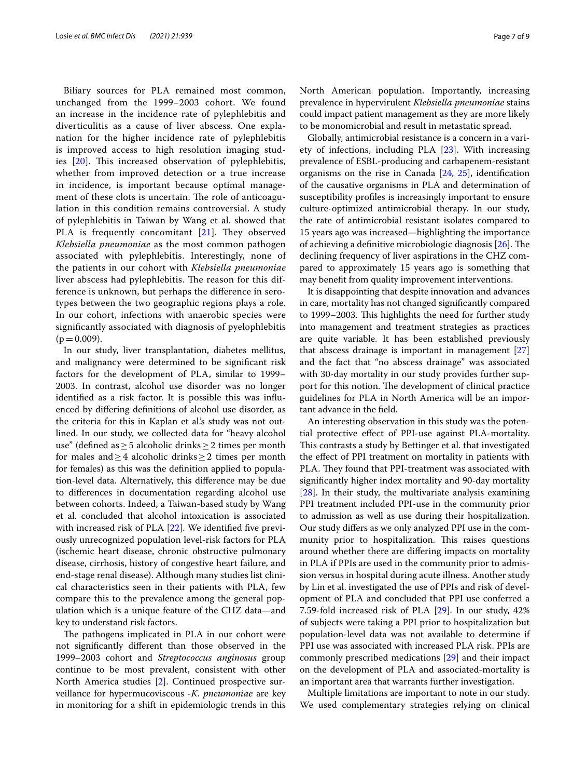Biliary sources for PLA remained most common, unchanged from the 1999–2003 cohort. We found an increase in the incidence rate of pylephlebitis and diverticulitis as a cause of liver abscess. One explanation for the higher incidence rate of pylephlebitis is improved access to high resolution imaging studies  $[20]$  $[20]$ . This increased observation of pylephlebitis, whether from improved detection or a true increase in incidence, is important because optimal management of these clots is uncertain. The role of anticoagulation in this condition remains controversial. A study of pylephlebitis in Taiwan by Wang et al. showed that PLA is frequently concomitant  $[21]$  $[21]$ . They observed *Klebsiella pneumoniae* as the most common pathogen associated with pylephlebitis. Interestingly, none of the patients in our cohort with *Klebsiella pneumoniae* liver abscess had pylephlebitis. The reason for this difference is unknown, but perhaps the diference in serotypes between the two geographic regions plays a role. In our cohort, infections with anaerobic species were signifcantly associated with diagnosis of pyelophlebitis  $(p=0.009)$ .

In our study, liver transplantation, diabetes mellitus, and malignancy were determined to be signifcant risk factors for the development of PLA, similar to 1999– 2003. In contrast, alcohol use disorder was no longer identifed as a risk factor. It is possible this was infuenced by difering defnitions of alcohol use disorder, as the criteria for this in Kaplan et al.'s study was not outlined. In our study, we collected data for "heavy alcohol use" (defned as≥5 alcoholic drinks≥2 times per month for males and  $\geq$  4 alcoholic drinks  $\geq$  2 times per month for females) as this was the defnition applied to population-level data. Alternatively, this diference may be due to diferences in documentation regarding alcohol use between cohorts. Indeed, a Taiwan-based study by Wang et al. concluded that alcohol intoxication is associated with increased risk of PLA [[22\]](#page-8-18). We identified five previously unrecognized population level-risk factors for PLA (ischemic heart disease, chronic obstructive pulmonary disease, cirrhosis, history of congestive heart failure, and end-stage renal disease). Although many studies list clinical characteristics seen in their patients with PLA, few compare this to the prevalence among the general population which is a unique feature of the CHZ data—and key to understand risk factors.

The pathogens implicated in PLA in our cohort were not signifcantly diferent than those observed in the 1999–2003 cohort and *Streptococcus anginosus* group continue to be most prevalent, consistent with other North America studies [[2\]](#page-7-1). Continued prospective surveillance for hypermucoviscous -*K. pneumoniae* are key in monitoring for a shift in epidemiologic trends in this North American population. Importantly, increasing prevalence in hypervirulent *Klebsiella pneumoniae* stains could impact patient management as they are more likely to be monomicrobial and result in metastatic spread.

Globally, antimicrobial resistance is a concern in a variety of infections, including PLA [\[23](#page-8-19)]. With increasing prevalence of ESBL-producing and carbapenem-resistant organisms on the rise in Canada [[24](#page-8-20), [25](#page-8-21)], identifcation of the causative organisms in PLA and determination of susceptibility profles is increasingly important to ensure culture-optimized antimicrobial therapy. In our study, the rate of antimicrobial resistant isolates compared to 15 years ago was increased—highlighting the importance of achieving a definitive microbiologic diagnosis  $[26]$  $[26]$ . The declining frequency of liver aspirations in the CHZ compared to approximately 15 years ago is something that may beneft from quality improvement interventions.

It is disappointing that despite innovation and advances in care, mortality has not changed signifcantly compared to 1999–2003. This highlights the need for further study into management and treatment strategies as practices are quite variable. It has been established previously that abscess drainage is important in management [[27](#page-8-23)] and the fact that "no abscess drainage" was associated with 30-day mortality in our study provides further support for this notion. The development of clinical practice guidelines for PLA in North America will be an important advance in the feld.

An interesting observation in this study was the potential protective efect of PPI-use against PLA-mortality. This contrasts a study by Bettinger et al. that investigated the efect of PPI treatment on mortality in patients with PLA. They found that PPI-treatment was associated with signifcantly higher index mortality and 90-day mortality [[28\]](#page-8-24). In their study, the multivariate analysis examining PPI treatment included PPI-use in the community prior to admission as well as use during their hospitalization. Our study difers as we only analyzed PPI use in the community prior to hospitalization. This raises questions around whether there are difering impacts on mortality in PLA if PPIs are used in the community prior to admission versus in hospital during acute illness. Another study by Lin et al. investigated the use of PPIs and risk of development of PLA and concluded that PPI use conferred a 7.59-fold increased risk of PLA [\[29](#page-8-25)]. In our study, 42% of subjects were taking a PPI prior to hospitalization but population-level data was not available to determine if PPI use was associated with increased PLA risk. PPIs are commonly prescribed medications [[29\]](#page-8-25) and their impact on the development of PLA and associated-mortality is an important area that warrants further investigation.

Multiple limitations are important to note in our study. We used complementary strategies relying on clinical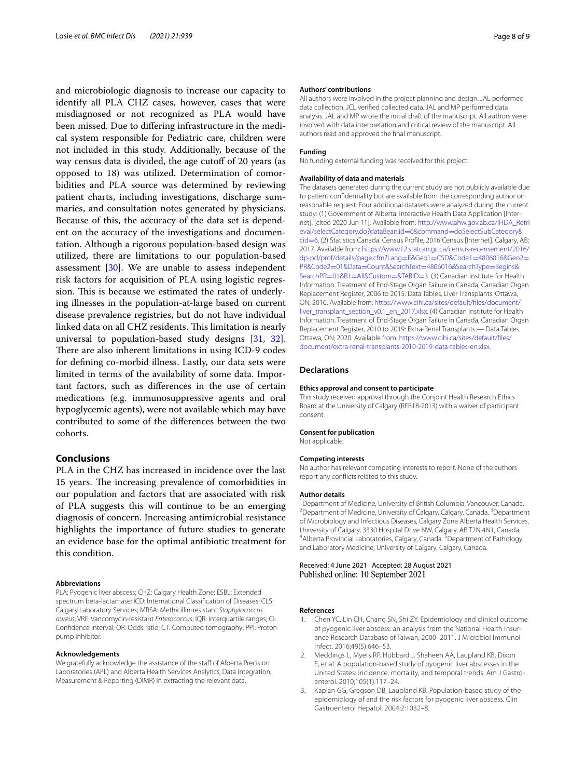and microbiologic diagnosis to increase our capacity to identify all PLA CHZ cases, however, cases that were misdiagnosed or not recognized as PLA would have been missed. Due to difering infrastructure in the medical system responsible for Pediatric care, children were not included in this study. Additionally, because of the way census data is divided, the age cutoff of 20 years (as opposed to 18) was utilized. Determination of comorbidities and PLA source was determined by reviewing patient charts, including investigations, discharge summaries, and consultation notes generated by physicians. Because of this, the accuracy of the data set is dependent on the accuracy of the investigations and documentation. Although a rigorous population-based design was utilized, there are limitations to our population-based assessment [\[30\]](#page-8-26). We are unable to assess independent risk factors for acquisition of PLA using logistic regression. This is because we estimated the rates of underlying illnesses in the population-at-large based on current disease prevalence registries, but do not have individual linked data on all CHZ residents. This limitation is nearly universal to population-based study designs [[31](#page-8-27), [32](#page-8-28)]. There are also inherent limitations in using ICD-9 codes for defning co-morbid illness. Lastly, our data sets were limited in terms of the availability of some data. Important factors, such as diferences in the use of certain medications (e.g. immunosuppressive agents and oral hypoglycemic agents), were not available which may have contributed to some of the diferences between the two cohorts.

# **Conclusions**

PLA in the CHZ has increased in incidence over the last 15 years. The increasing prevalence of comorbidities in our population and factors that are associated with risk of PLA suggests this will continue to be an emerging diagnosis of concern. Increasing antimicrobial resistance highlights the importance of future studies to generate an evidence base for the optimal antibiotic treatment for this condition.

#### **Abbreviations**

PLA: Pyogenic liver abscess; CHZ: Calgary Health Zone; ESBL: Extended spectrum beta-lactamase; ICD: International Classifcation of Diseases; CLS: Calgary Laboratory Services; MRSA: Methicillin-resistant *Staphylococcus aureus*; VRE: Vancomycin-resistant *Enterococcus*; IQR: Interquartile ranges; CI: Confdence interval; OR: Odds ratio; CT: Computed tomography; PPI: Proton pump inhibitor.

#### **Acknowledgements**

We gratefully acknowledge the assistance of the staff of Alberta Precision Laboratories (APL) and Alberta Health Services Analytics, Data Integration, Measurement & Reporting (DIMR) in extracting the relevant data.

#### **Authors' contributions**

All authors were involved in the project planning and design. JAL performed data collection. JCL verifed collected data. JAL and MP performed data analysis. JAL and MP wrote the initial draft of the manuscript. All authors were involved with data interpretation and critical review of the manuscript. All authors read and approved the fnal manuscript.

#### **Funding**

No funding external funding was received for this project.

#### **Availability of data and materials**

The datasets generated during the current study are not publicly available due to patient confdentiality but are available from the corresponding author on reasonable request. Four additional datasets were analyzed during the current study: (1) Government of Alberta. Interactive Health Data Application [Internet]. [cited 2020 Jun 11]. Available from: [http://www.ahw.gov.ab.ca/IHDA\\_Retri](http://www.ahw.gov.ab.ca/IHDA_Retrieval/selectCategory.do?dataBean.id=6&command=doSelectSubCategory&cid=6) eval/selectCategory.do?dataBean.id=6&command=doSelectSubCategory& cid=[6. \(2\) Statistics Canada. Census Profle, 2016 Census \[Internet\]. Calgary, A](http://www.ahw.gov.ab.ca/IHDA_Retrieval/selectCategory.do?dataBean.id=6&command=doSelectSubCategory&cid=6)B; [2017. A](http://www.ahw.gov.ab.ca/IHDA_Retrieval/selectCategory.do?dataBean.id=6&command=doSelectSubCategory&cid=6)vailable from: [https://www12.statcan.gc.ca/census-recensement/2016/](https://www12.statcan.gc.ca/census-recensement/2016/dp-pd/prof/details/page.cfm?Lang=E&Geo1=CSD&Code1=4806016&Geo2=PR&Code2=01&Data=Count&SearchText=4806016&SearchType=Begins&SearchPR=01&B1=All&Custom=&TABID=3) [dp-pd/prof/details/page.cfm?Lang](https://www12.statcan.gc.ca/census-recensement/2016/dp-pd/prof/details/page.cfm?Lang=E&Geo1=CSD&Code1=4806016&Geo2=PR&Code2=01&Data=Count&SearchText=4806016&SearchType=Begins&SearchPR=01&B1=All&Custom=&TABID=3)=E&Geo1=CSD&Code1=4806016&Geo2= PR&Code2=01&Data=Count&SearchText=[4806016&SearchType](https://www12.statcan.gc.ca/census-recensement/2016/dp-pd/prof/details/page.cfm?Lang=E&Geo1=CSD&Code1=4806016&Geo2=PR&Code2=01&Data=Count&SearchText=4806016&SearchType=Begins&SearchPR=01&B1=All&Custom=&TABID=3)=Begins& SearchPR=01&B1=All&Custom=&TABID=3. (3) Canadian Institute for Health [Information. Treatment of End-Stage Organ](https://www12.statcan.gc.ca/census-recensement/2016/dp-pd/prof/details/page.cfm?Lang=E&Geo1=CSD&Code1=4806016&Geo2=PR&Code2=01&Data=Count&SearchText=4806016&SearchType=Begins&SearchPR=01&B1=All&Custom=&TABID=3) Failure in Canada, Canadian Organ Replacement Register, 2006 to 2015: Data Tables, Liver Transplants. Ottawa, ON; 2016. Available from: [https://www.cihi.ca/sites/default/fles/document/](https://www.cihi.ca/sites/default/files/document/liver_transplant_section_v0.1_en_2017.xlsx) [liver\\_transplant\\_section\\_v0.1\\_en\\_2017.xlsx](https://www.cihi.ca/sites/default/files/document/liver_transplant_section_v0.1_en_2017.xlsx). (4) Canadian Institute for Health Information. Treatment of End-Stage Organ Failure in Canada, Canadian Organ Replacement Register, 2010 to 2019: Extra-Renal Transplants — Data Tables. Ottawa, ON; 2020. Available from: [https://www.cihi.ca/sites/default/fles/](https://www.cihi.ca/sites/default/files/document/extra-renal-transplants-2010-2019-data-tables-en.xlsx) [document/extra-renal-transplants-2010-2019-data-tables-en.xlsx.](https://www.cihi.ca/sites/default/files/document/extra-renal-transplants-2010-2019-data-tables-en.xlsx)

#### **Declarations**

#### **Ethics approval and consent to participate**

This study received approval through the Conjoint Health Research Ethics Board at the University of Calgary (REB18-2013) with a waiver of participant consent.

#### **Consent for publication**

Not applicable.

#### **Competing interests**

No author has relevant competing interests to report. None of the authors report any conficts related to this study.

#### **Author details**

<sup>1</sup> Department of Medicine, University of British Columbia, Vancouver, Canada.<br><sup>2</sup> Department of Medicine, University of Calgary Calgary Canada. <sup>3</sup> Department Department of Medicine, University of Calgary, Calgary, Canada. <sup>3</sup> Department of Microbiology and Infectious Diseases, Calgary Zone Alberta Health Services, University of Calgary, 3330 Hospital Drive NW, Calgary, AB T2N 4N1, Canada. 4 Alberta Provincial Laboratories, Calgary, Canada. <sup>5</sup> Department of Pathology and Laboratory Medicine, University of Calgary, Calgary, Canada.

Received: 4 June 2021 Accepted: 28 August 2021

#### **References**

- <span id="page-7-0"></span>1. Chen YC, Lin CH, Chang SN, Shi ZY. Epidemiology and clinical outcome of pyogenic liver abscess: an analysis from the National Health Insurance Research Database of Taiwan, 2000–2011. J Microbiol Immunol Infect. 2016;49(5):646–53.
- <span id="page-7-1"></span>2. Meddings L, Myers RP, Hubbard J, Shaheen AA, Laupland KB, Dixon E, et al. A population-based study of pyogenic liver abscesses in the United States: incidence, mortality, and temporal trends. Am J Gastroenterol. 2010;105(1):117–24.
- <span id="page-7-2"></span>3. Kaplan GG, Gregson DB, Laupland KB. Population-based study of the epidemiology of and the risk factors for pyogenic liver abscess. Clin Gastroenterol Hepatol. 2004;2:1032–8.